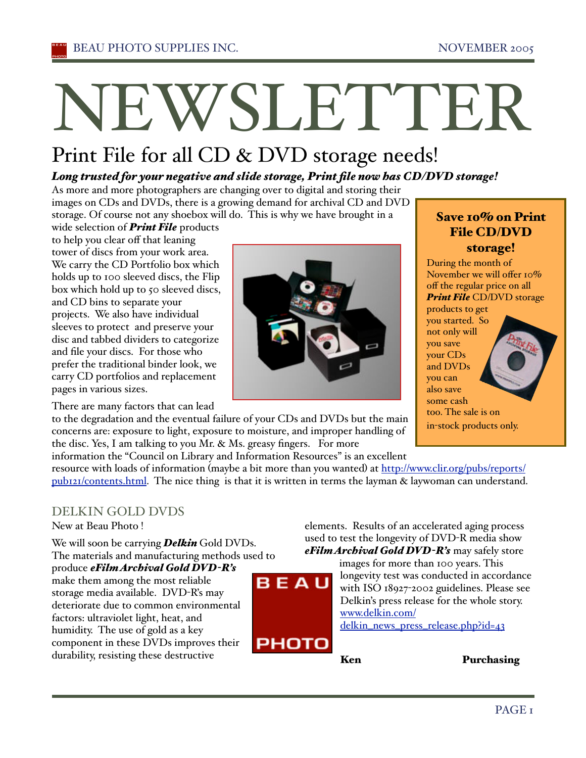# NEWSLETTER

## Print File for all CD & DVD storage needs!

#### *Long trusted for your negative and slide storage, Print file now has CD/DVD storage!*

As more and more photographers are changing over to digital and storing their images on CDs and DVDs, there is a growing demand for archival CD and DVD storage. Of course not any shoebox will do. This is why we have brought in a

wide selection of *Print File* products to help you clear off that leaning tower of discs from your work area. We carry the CD Portfolio box which holds up to 100 sleeved discs, the Flip box which hold up to 50 sleeved discs, and CD bins to separate your projects. We also have individual sleeves to protect and preserve your disc and tabbed dividers to categorize and file your discs. For those who prefer the traditional binder look, we carry CD portfolios and replacement pages in various sizes.

There are many factors that can lead

#### Save 10% on Print File CD/DVD storage!

During the month of November we will offer 10% off the regular price on all *Print File* CD/DVD storage products to get you started. So not only will you save your CDs and DVDs you can also save some cash too. The sale is on in-stock products only.

to the degradation and the eventual failure of your CDs and DVDs but the main concerns are: exposure to light, exposure to moisture, and improper handling of the disc. Yes, I am talking to you Mr. & Ms. greasy fingers. For more

information the "Council on Library and Information Resources" is an excellent

resource with loads of information (maybe a bit more than you wanted) at http://www.clir.org/pubs/reports/ pub121/contents.html. The nice thing is that it is written in terms the layman & laywoman can understand.

BEAU

РНОТО

## DELKIN GOLD DVDS

New at Beau Photo !

We will soon be carrying *Delkin* Gold DVDs. The materials and manufacturing methods used to

produce *eFilm Archival Gold DVD-R's* make them among the most reliable storage media available. DVD-R's may deteriorate due to common environmental factors: ultraviolet light, heat, and humidity. The use of gold as a key component in these DVDs improves their durability, resisting these destructive

elements. Results of an accelerated aging process used to test the longevity of DVD-R media show *eFilm Archival Gold DVD-R's* may safely store

> images for more than 100 years. This longevity test was conducted in accordance with ISO 18927-2002 guidelines. Please see Delkin's press release for the whole story. www.delkin.com/ delkin\_news\_press\_release.php?id=43

Ken Purchasing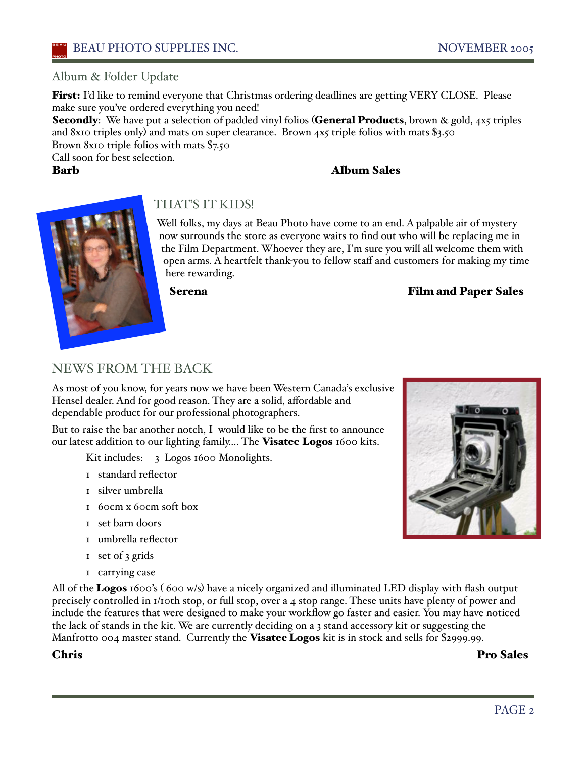#### Album & Folder Update

First: I'd like to remind everyone that Christmas ordering deadlines are getting VERY CLOSE. Please make sure you've ordered everything you need!

**Secondly**: We have put a selection of padded vinyl folios (**General Products**, brown & gold, 4x5 triples and 8x10 triples only) and mats on super clearance. Brown 4x5 triple folios with mats \$3.50 Brown 8x10 triple folios with mats \$7.50

Call soon for best selection.

#### Barb Album Sales



#### THAT'S IT KIDS!

Well folks, my days at Beau Photo have come to an end. A palpable air of mystery now surrounds the store as everyone waits to find out who will be replacing me in the Film Department. Whoever they are, I'm sure you will all welcome them with open arms. A heartfelt thank-you to fellow staff and customers for making my time here rewarding.

#### Serena Film and Paper Sales

## NEWS FROM THE BACK

As most of you know, for years now we have been Western Canada's exclusive Hensel dealer. And for good reason. They are a solid, affordable and dependable product for our professional photographers.

But to raise the bar another notch, I would like to be the first to announce our latest addition to our lighting family.... The Visatec Logos 1600 kits.

Kit includes: 3 Logos 1600 Monolights.

- 1 standard reflector
- 1 silver umbrella
- 1 60cm x 60cm soft box
- 1 set barn doors
- 1 umbrella reflector
- 1 set of 3 grids
- 1 carrying case

All of the **Logos** 1600's (600 w/s) have a nicely organized and illuminated LED display with flash output precisely controlled in 1/10th stop, or full stop, over a 4 stop range. These units have plenty of power and include the features that were designed to make your workflow go faster and easier. You may have noticed the lack of stands in the kit. We are currently deciding on a 3 stand accessory kit or suggesting the Manfrotto  $0.04$  master stand. Currently the **Visatec Logos** kit is in stock and sells for \$2999.99.

Chris Pro Sales

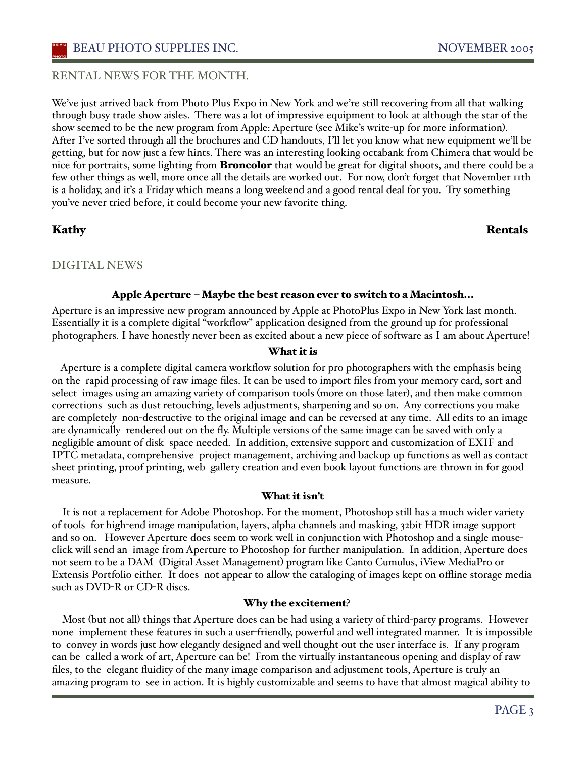#### BEAU PHOTO SUPPLIES INC. NOVEMBER 2005

#### RENTAL NEWS FOR THE MONTH.

We've just arrived back from Photo Plus Expo in New York and we're still recovering from all that walking through busy trade show aisles. There was a lot of impressive equipment to look at although the star of the show seemed to be the new program from Apple: Aperture (see Mike's write-up for more information). After I've sorted through all the brochures and CD handouts, I'll let you know what new equipment we'll be getting, but for now just a few hints. There was an interesting looking octabank from Chimera that would be nice for portraits, some lighting from **Broncolor** that would be great for digital shoots, and there could be a few other things as well, more once all the details are worked out. For now, don't forget that November 11th is a holiday, and iťs a Friday which means a long weekend and a good rental deal for you. Try something you've never tried before, it could become your new favorite thing.

#### Kathy Rentals

#### DIGITAL NEWS

#### Apple Aperture – Maybe the best reason ever to switch to a Macintosh...

Aperture is an impressive new program announced by Apple at PhotoPlus Expo in New York last month. Essentially it is a complete digital "workflow" application designed from the ground up for professional photographers. I have honestly never been as excited about a new piece of software as I am about Aperture!

#### What it is

 Aperture is a complete digital camera workflow solution for pro photographers with the emphasis being on the rapid processing of raw image files. It can be used to import files from your memory card, sort and select images using an amazing variety of comparison tools (more on those later), and then make common corrections such as dust retouching, levels adjustments, sharpening and so on. Any corrections you make are completely non-destructive to the original image and can be reversed at any time. All edits to an image are dynamically rendered out on the fly. Multiple versions of the same image can be saved with only a negligible amount of disk space needed. In addition, extensive support and customization of EXIF and IPTC metadata, comprehensive project management, archiving and backup up functions as well as contact sheet printing, proof printing, web gallery creation and even book layout functions are thrown in for good measure.

#### What it isn't

 It is not a replacement for Adobe Photoshop. For the moment, Photoshop still has a much wider variety of tools for high-end image manipulation, layers, alpha channels and masking, 32bit HDR image support and so on. However Aperture does seem to work well in conjunction with Photoshop and a single mouseclick will send an image from Aperture to Photoshop for further manipulation. In addition, Aperture does not seem to be a DAM (Digital Asset Management) program like Canto Cumulus, iView MediaPro or Extensis Portfolio either. It does not appear to allow the cataloging of images kept on offline storage media such as DVD-R or CD-R discs.

#### Why the excitement?

 Most (but not all) things that Aperture does can be had using a variety of third-party programs. However none implement these features in such a user-friendly, powerful and well integrated manner. It is impossible to convey in words just how elegantly designed and well thought out the user interface is. If any program can be called a work of art, Aperture can be! From the virtually instantaneous opening and display of raw files, to the elegant fluidity of the many image comparison and adjustment tools, Aperture is truly an amazing program to see in action. It is highly customizable and seems to have that almost magical ability to